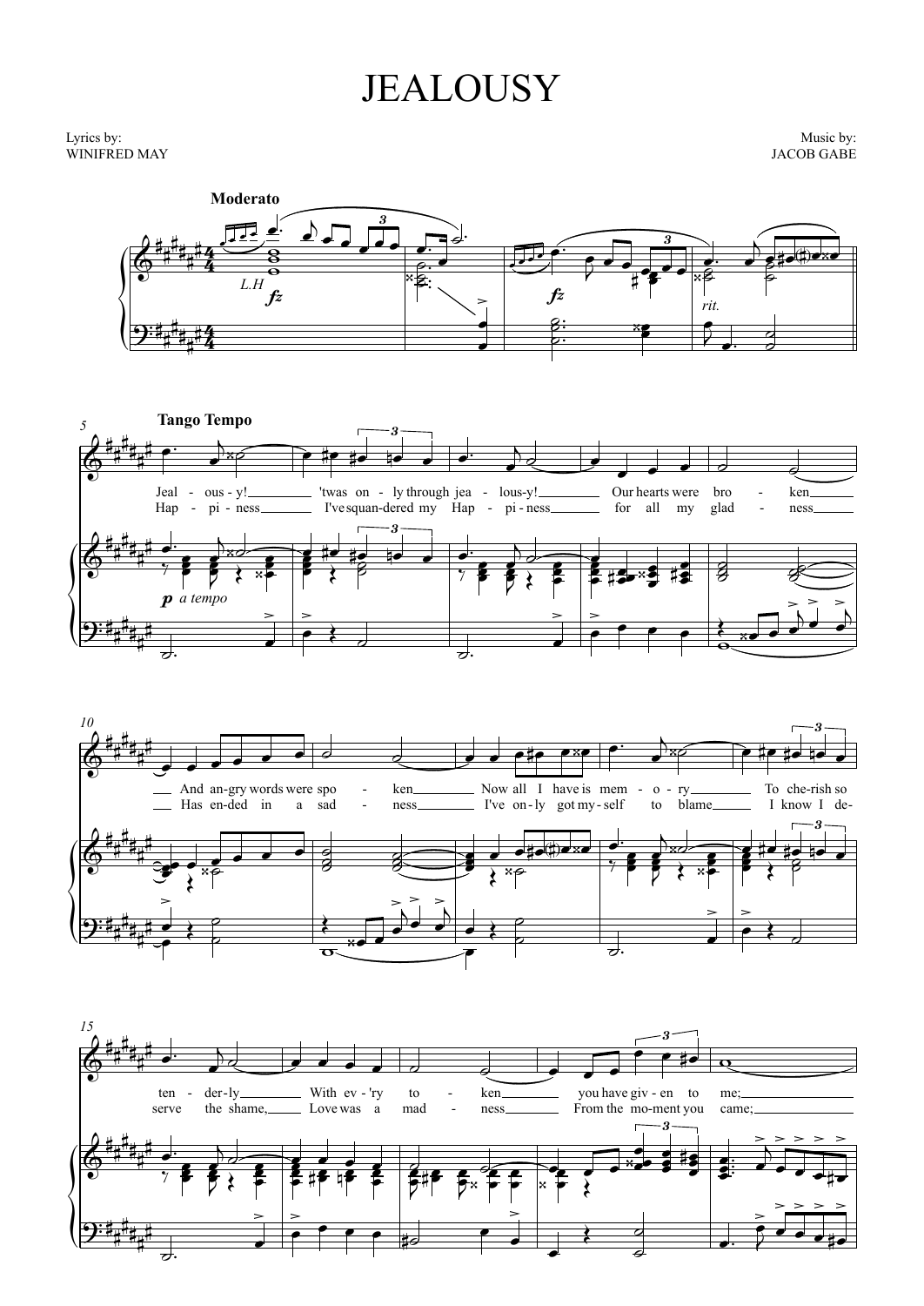## **JEALOUSY**

Lyrics by: WINIFRED MAY

Music by: **JACOB GABE** 







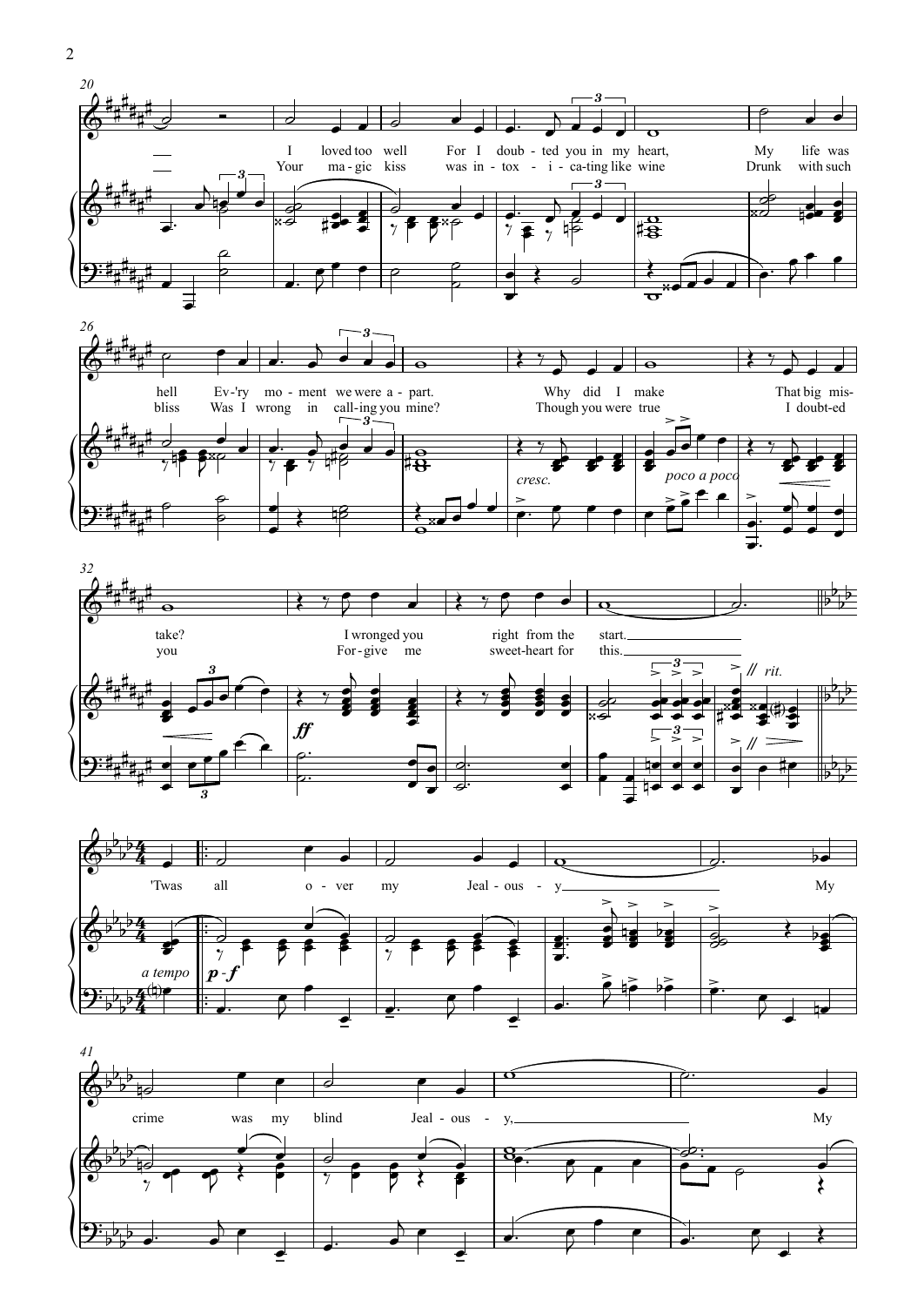